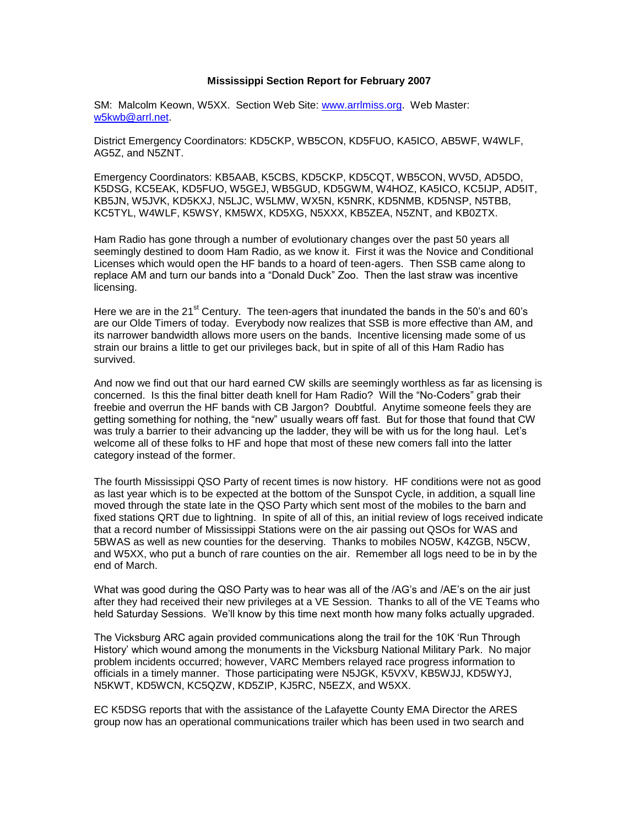## **Mississippi Section Report for February 2007**

SM: Malcolm Keown, W5XX. Section Web Site: [www.arrlmiss.org.](http://www.arrlmiss.org/) Web Master: [w5kwb@arrl.net.](mailto:w5kwb@arrl.net)

District Emergency Coordinators: KD5CKP, WB5CON, KD5FUO, KA5ICO, AB5WF, W4WLF, AG5Z, and N5ZNT.

Emergency Coordinators: KB5AAB, K5CBS, KD5CKP, KD5CQT, WB5CON, WV5D, AD5DO, K5DSG, KC5EAK, KD5FUO, W5GEJ, WB5GUD, KD5GWM, W4HOZ, KA5ICO, KC5IJP, AD5IT, KB5JN, W5JVK, KD5KXJ, N5LJC, W5LMW, WX5N, K5NRK, KD5NMB, KD5NSP, N5TBB, KC5TYL, W4WLF, K5WSY, KM5WX, KD5XG, N5XXX, KB5ZEA, N5ZNT, and KB0ZTX.

Ham Radio has gone through a number of evolutionary changes over the past 50 years all seemingly destined to doom Ham Radio, as we know it. First it was the Novice and Conditional Licenses which would open the HF bands to a hoard of teen-agers. Then SSB came along to replace AM and turn our bands into a "Donald Duck" Zoo. Then the last straw was incentive licensing.

Here we are in the 21<sup>st</sup> Century. The teen-agers that inundated the bands in the 50's and 60's are our Olde Timers of today. Everybody now realizes that SSB is more effective than AM, and its narrower bandwidth allows more users on the bands. Incentive licensing made some of us strain our brains a little to get our privileges back, but in spite of all of this Ham Radio has survived.

And now we find out that our hard earned CW skills are seemingly worthless as far as licensing is concerned. Is this the final bitter death knell for Ham Radio? Will the "No-Coders" grab their freebie and overrun the HF bands with CB Jargon? Doubtful. Anytime someone feels they are getting something for nothing, the "new" usually wears off fast. But for those that found that CW was truly a barrier to their advancing up the ladder, they will be with us for the long haul. Let's welcome all of these folks to HF and hope that most of these new comers fall into the latter category instead of the former.

The fourth Mississippi QSO Party of recent times is now history. HF conditions were not as good as last year which is to be expected at the bottom of the Sunspot Cycle, in addition, a squall line moved through the state late in the QSO Party which sent most of the mobiles to the barn and fixed stations QRT due to lightning. In spite of all of this, an initial review of logs received indicate that a record number of Mississippi Stations were on the air passing out QSOs for WAS and 5BWAS as well as new counties for the deserving. Thanks to mobiles NO5W, K4ZGB, N5CW, and W5XX, who put a bunch of rare counties on the air. Remember all logs need to be in by the end of March.

What was good during the QSO Party was to hear was all of the /AG's and /AE's on the air just after they had received their new privileges at a VE Session. Thanks to all of the VE Teams who held Saturday Sessions. We'll know by this time next month how many folks actually upgraded.

The Vicksburg ARC again provided communications along the trail for the 10K 'Run Through History' which wound among the monuments in the Vicksburg National Military Park. No major problem incidents occurred; however, VARC Members relayed race progress information to officials in a timely manner. Those participating were N5JGK, K5VXV, KB5WJJ, KD5WYJ, N5KWT, KD5WCN, KC5QZW, KD5ZIP, KJ5RC, N5EZX, and W5XX.

EC K5DSG reports that with the assistance of the Lafayette County EMA Director the ARES group now has an operational communications trailer which has been used in two search and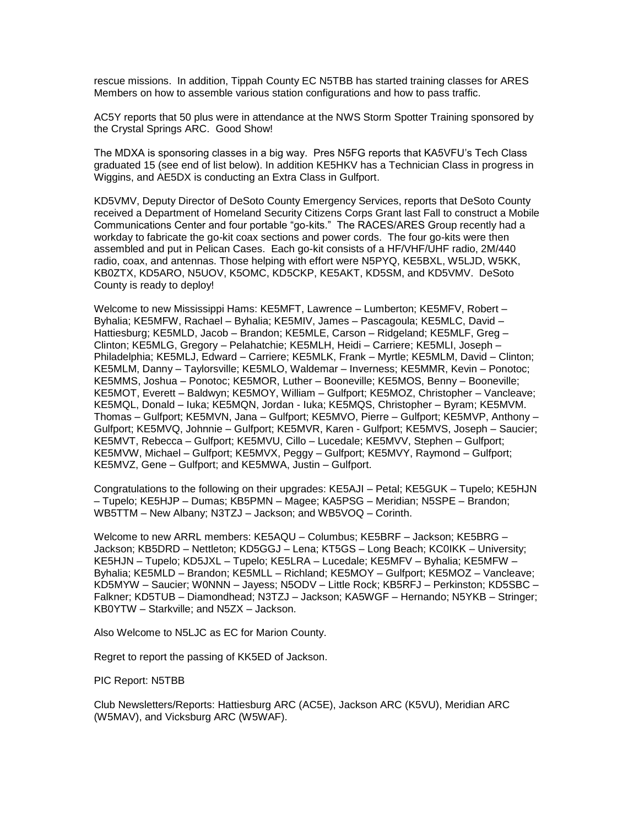rescue missions. In addition, Tippah County EC N5TBB has started training classes for ARES Members on how to assemble various station configurations and how to pass traffic.

AC5Y reports that 50 plus were in attendance at the NWS Storm Spotter Training sponsored by the Crystal Springs ARC. Good Show!

The MDXA is sponsoring classes in a big way. Pres N5FG reports that KA5VFU's Tech Class graduated 15 (see end of list below). In addition KE5HKV has a Technician Class in progress in Wiggins, and AE5DX is conducting an Extra Class in Gulfport.

KD5VMV, Deputy Director of DeSoto County Emergency Services, reports that DeSoto County received a Department of Homeland Security Citizens Corps Grant last Fall to construct a Mobile Communications Center and four portable "go-kits." The RACES/ARES Group recently had a workday to fabricate the go-kit coax sections and power cords. The four go-kits were then assembled and put in Pelican Cases. Each go-kit consists of a HF/VHF/UHF radio, 2M/440 radio, coax, and antennas. Those helping with effort were N5PYQ, KE5BXL, W5LJD, W5KK, KB0ZTX, KD5ARO, N5UOV, K5OMC, KD5CKP, KE5AKT, KD5SM, and KD5VMV. DeSoto County is ready to deploy!

Welcome to new Mississippi Hams: KE5MFT, Lawrence – Lumberton; KE5MFV, Robert – Byhalia; KE5MFW, Rachael – Byhalia; KE5MIV, James – Pascagoula; KE5MLC, David – Hattiesburg; KE5MLD, Jacob – Brandon; KE5MLE, Carson – Ridgeland; KE5MLF, Greg – Clinton; KE5MLG, Gregory – Pelahatchie; KE5MLH, Heidi – Carriere; KE5MLI, Joseph – Philadelphia; KE5MLJ, Edward – Carriere; KE5MLK, Frank – Myrtle; KE5MLM, David – Clinton; KE5MLM, Danny – Taylorsville; KE5MLO, Waldemar – Inverness; KE5MMR, Kevin – Ponotoc; KE5MMS, Joshua – Ponotoc; KE5MOR, Luther – Booneville; KE5MOS, Benny – Booneville; KE5MOT, Everett – Baldwyn; KE5MOY, William – Gulfport; KE5MOZ, Christopher – Vancleave; KE5MQL, Donald – Iuka; KE5MQN, Jordan - Iuka; KE5MQS, Christopher – Byram; KE5MVM. Thomas – Gulfport; KE5MVN, Jana – Gulfport; KE5MVO, Pierre – Gulfport; KE5MVP, Anthony – Gulfport; KE5MVQ, Johnnie – Gulfport; KE5MVR, Karen - Gulfport; KE5MVS, Joseph – Saucier; KE5MVT, Rebecca – Gulfport; KE5MVU, Cillo – Lucedale; KE5MVV, Stephen – Gulfport; KE5MVW, Michael – Gulfport; KE5MVX, Peggy – Gulfport; KE5MVY, Raymond – Gulfport; KE5MVZ, Gene – Gulfport; and KE5MWA, Justin – Gulfport.

Congratulations to the following on their upgrades: KE5AJI – Petal; KE5GUK – Tupelo; KE5HJN – Tupelo; KE5HJP – Dumas; KB5PMN – Magee; KA5PSG – Meridian; N5SPE – Brandon; WB5TTM – New Albany; N3TZJ – Jackson; and WB5VOQ – Corinth.

Welcome to new ARRL members: KE5AQU – Columbus; KE5BRF – Jackson; KE5BRG – Jackson; KB5DRD – Nettleton; KD5GGJ – Lena; KT5GS – Long Beach; KC0IKK – University; KE5HJN – Tupelo; KD5JXL – Tupelo; KE5LRA – Lucedale; KE5MFV – Byhalia; KE5MFW – Byhalia; KE5MLD – Brandon; KE5MLL – Richland; KE5MOY – Gulfport; KE5MOZ – Vancleave; KD5MYW – Saucier; W0NNN – Jayess; N5ODV – Little Rock; KB5RFJ – Perkinston; KD5SBC – Falkner; KD5TUB – Diamondhead; N3TZJ – Jackson; KA5WGF – Hernando; N5YKB – Stringer; KB0YTW – Starkville; and N5ZX – Jackson.

Also Welcome to N5LJC as EC for Marion County.

Regret to report the passing of KK5ED of Jackson.

PIC Report: N5TBB

Club Newsletters/Reports: Hattiesburg ARC (AC5E), Jackson ARC (K5VU), Meridian ARC (W5MAV), and Vicksburg ARC (W5WAF).